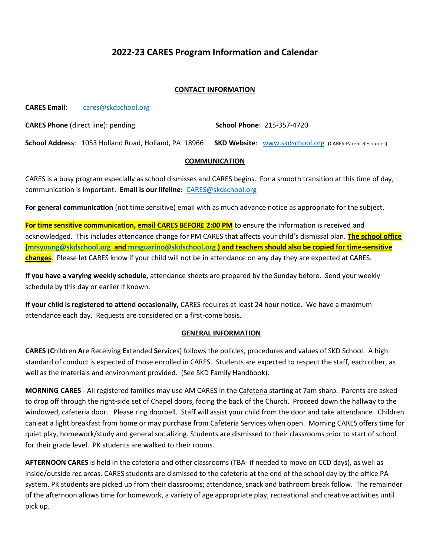## **2022-23 CARES Program Information and Calendar**

#### **CONTACT INFORMATION**

**CARES Email**: [cares@skdschool.org](mailto:cares@skdschool.org)

**CARES Phone** (direct line): pending **School Phone**: 215-357-4720

**School Address**: 1053 Holland Road, Holland, PA 18966 **SKD Website**: [www.skdschool.org](http://www.skdschool.org/) (CARES-Parent Resources)

#### **COMMUNICATION**

CARES is a busy program especially as school dismisses and CARES begins. For a smooth transition at this time of day, communication is important. **Email is our lifeline:** [CARES@skdschool.org](mailto:CARES@skdschool.org) 

**For general communication** (not time sensitive) email with as much advance notice as appropriate for the subject.

**For time sensitive communication, email CARES BEFORE 2:00 PM** to ensure the information is received and acknowledged. This includes attendance change for PM CARES that affects your child's dismissal plan. **The school office [\(mrsyoung@skdschool.org](mailto:mrsyoung@skdschool.org) and [mrsguarino@skdschool.org](mailto:mrsguarino@skdschool.org) ) and teachers should also be copied for time-sensitive changes**. Please let CARES know if your child will not be in attendance on any day they are expected at CARES.

**If you have a varying weekly schedule,** attendance sheets are prepared by the Sunday before. Send your weekly schedule by this day or earlier if known.

**If your child is registered to attend occasionally,** CARES requires at least 24 hour notice. We have a maximum attendance each day. Requests are considered on a first-come basis.

#### **GENERAL INFORMATION**

**CARES** (**C**hildren **A**re Receiving **E**xtended **S**ervices) follows the policies, procedures and values of SKD School. A high standard of conduct is expected of those enrolled in CARES. Students are expected to respect the staff, each other, as well as the materials and environment provided. (See SKD Family Handbook).

**MORNING CARES** - All registered families may use AM CARES in the Cafeteria starting at 7am sharp. Parents are asked to drop off through the right-side set of Chapel doors, facing the back of the Church. Proceed down the hallway to the windowed, cafeteria door. Please ring doorbell. Staff will assist your child from the door and take attendance. Children can eat a light breakfast from home or may purchase from Cafeteria Services when open.Morning CARES offers time for quiet play, homework/study and general socializing. Students are dismissed to their classrooms prior to start of school for their grade level. PK students are walked to their rooms.

**AFTERNOON CARES** is held in the cafeteria and other classrooms (TBA- if needed to move on CCD days), as well as inside/outside rec areas. CARES students are dismissed to the cafeteria at the end of the school day by the office PA system. PK students are picked up from their classrooms; attendance, snack and bathroom break follow. The remainder of the afternoon allows time for homework, a variety of age appropriate play, recreational and creative activities until pick up.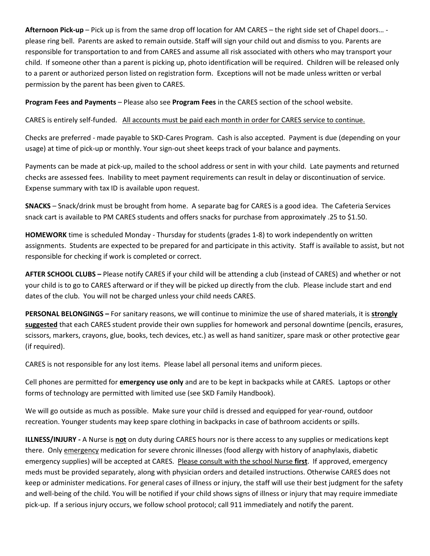**Afternoon Pick-up** – Pick up is from the same drop off location for AM CARES – the right side set of Chapel doors… please ring bell. Parents are asked to remain outside. Staff will sign your child out and dismiss to you. Parents are responsible for transportation to and from CARES and assume all risk associated with others who may transport your child. If someone other than a parent is picking up, photo identification will be required. Children will be released only to a parent or authorized person listed on registration form. Exceptions will not be made unless written or verbal permission by the parent has been given to CARES.

**Program Fees and Payments** – Please also see **Program Fees** in the CARES section of the school website.

CARES is entirely self-funded. All accounts must be paid each month in order for CARES service to continue.

Checks are preferred - made payable to SKD-Cares Program. Cash is also accepted. Payment is due (depending on your usage) at time of pick-up or monthly. Your sign-out sheet keeps track of your balance and payments.

Payments can be made at pick-up, mailed to the school address or sent in with your child. Late payments and returned checks are assessed fees. Inability to meet payment requirements can result in delay or discontinuation of service. Expense summary with tax ID is available upon request.

**SNACKS** – Snack/drink must be brought from home. A separate bag for CARES is a good idea. The Cafeteria Services snack cart is available to PM CARES students and offers snacks for purchase from approximately .25 to \$1.50.

**HOMEWORK** time is scheduled Monday - Thursday for students (grades 1-8) to work independently on written assignments. Students are expected to be prepared for and participate in this activity. Staff is available to assist, but not responsible for checking if work is completed or correct.

**AFTER SCHOOL CLUBS –** Please notify CARES if your child will be attending a club (instead of CARES) and whether or not your child is to go to CARES afterward or if they will be picked up directly from the club. Please include start and end dates of the club. You will not be charged unless your child needs CARES.

**PERSONAL BELONGINGS –** For sanitary reasons, we will continue to minimize the use of shared materials, it is **strongly suggested** that each CARES student provide their own supplies for homework and personal downtime (pencils, erasures, scissors, markers, crayons, glue, books, tech devices, etc.) as well as hand sanitizer, spare mask or other protective gear (if required).

CARES is not responsible for any lost items. Please label all personal items and uniform pieces.

Cell phones are permitted for **emergency use only** and are to be kept in backpacks while at CARES. Laptops or other forms of technology are permitted with limited use (see SKD Family Handbook).

We will go outside as much as possible. Make sure your child is dressed and equipped for year-round, outdoor recreation. Younger students may keep spare clothing in backpacks in case of bathroom accidents or spills.

**ILLNESS/INJURY -** A Nurse is **not** on duty during CARES hours nor is there access to any supplies or medications kept there. Only emergency medication for severe chronic illnesses (food allergy with history of anaphylaxis, diabetic emergency supplies) will be accepted at CARES. Please consult with the school Nurse **first**. If approved, emergency meds must be provided separately, along with physician orders and detailed instructions. Otherwise CARES does not keep or administer medications. For general cases of illness or injury, the staff will use their best judgment for the safety and well-being of the child. You will be notified if your child shows signs of illness or injury that may require immediate pick-up. If a serious injury occurs, we follow school protocol; call 911 immediately and notify the parent.